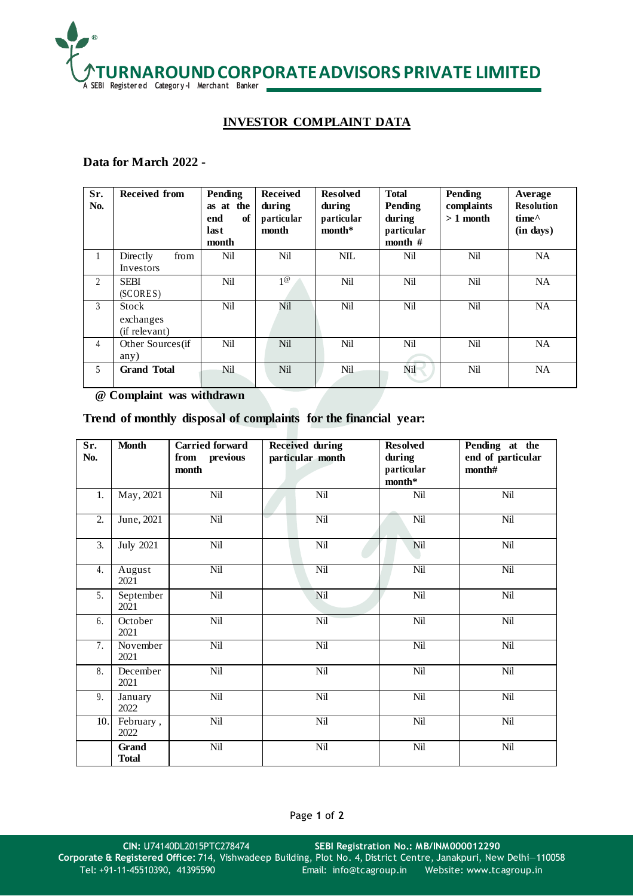

## **INVESTOR COMPLAINT DATA**

## **Data for March 2022 -**

| Sr.<br>No. | <b>Received from</b>                | Pending<br>as at the<br>end<br>of<br>last<br>month | <b>Received</b><br>during<br>particular<br>month | <b>Resolved</b><br>during<br>particular<br>$month*$ | <b>Total</b><br>Pending<br>during<br>particular<br>month # | Pending<br>complaints<br>$>1$ month | Average<br><b>Resolution</b><br>$time^{\wedge}$<br>(in days) |
|------------|-------------------------------------|----------------------------------------------------|--------------------------------------------------|-----------------------------------------------------|------------------------------------------------------------|-------------------------------------|--------------------------------------------------------------|
| 1          | from<br>Directly<br>Investors       | Nil                                                | Nil                                              | <b>NIL</b>                                          | Nil                                                        | Nil                                 | NA                                                           |
| 2          | <b>SEBI</b><br>(SCORES)             | Nil                                                | $1^\omega$                                       | Nil                                                 | Nil                                                        | Nil                                 | <b>NA</b>                                                    |
| 3          | Stock<br>exchanges<br>(if relevant) | Nil                                                | Nil                                              | Nil                                                 | Nil                                                        | Nil                                 | <b>NA</b>                                                    |
| 4          | Other Sources (if<br>any)           | Nil                                                | Nil                                              | Nil                                                 | Nil                                                        | Nil                                 | <b>NA</b>                                                    |
| 5          | <b>Grand Total</b>                  | Nil                                                | <b>Nil</b>                                       | <b>Nil</b>                                          | Nil                                                        | Nil                                 | <b>NA</b>                                                    |

 **@ Complaint was withdrawn**

## **Trend of monthly disposal of complaints for the financial year:**

| Sr.<br>No.       | <b>Month</b>                 | <b>Carried forward</b><br>from previous<br>month | <b>Received during</b><br>particular month | <b>Resolved</b><br>during<br>particular<br>month* | Pending at the<br>end of particular<br>month# |
|------------------|------------------------------|--------------------------------------------------|--------------------------------------------|---------------------------------------------------|-----------------------------------------------|
| 1.               | May, 2021                    | Nil                                              | Nil                                        | Nil                                               | Nil                                           |
| $\overline{2}$ . | June, $2021$                 | Nil                                              | Nil                                        | Nil                                               | Nil                                           |
| 3.               | <b>July 2021</b>             | Nil                                              | Nil                                        | Nil                                               | Nil                                           |
| 4.               | August<br>2021               | Nil                                              | Nil                                        | Nil                                               | Nil                                           |
| 5.               | September<br>2021            | Nil                                              | Nil                                        | Nil                                               | Nil                                           |
| 6.               | October<br>2021              | Nil                                              | Nil                                        | Nil                                               | Nil                                           |
| 7.               | November<br>2021             | Nil                                              | Nil                                        | Nil                                               | Nil                                           |
| 8.               | December<br>2021             | Nil                                              | Nil                                        | Nil                                               | Nil                                           |
| 9.               | January<br>2022              | Nil                                              | Nil                                        | Nil                                               | Nil                                           |
| 10.              | February,<br>2022            | Nil                                              | Nil                                        | Nil                                               | Nil                                           |
|                  | <b>Grand</b><br><b>Total</b> | Nil                                              | Nil                                        | Nil                                               | Nil                                           |